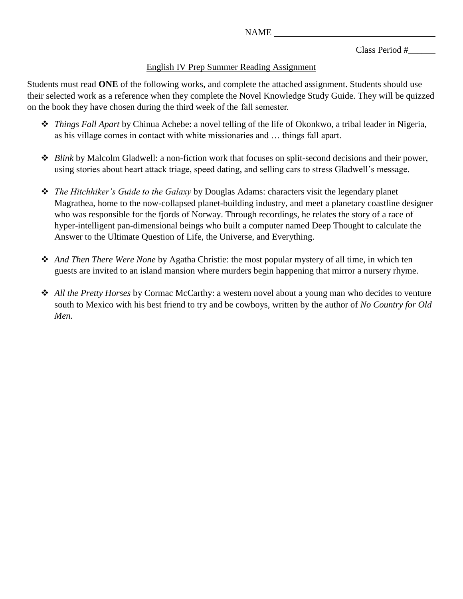Class Period #\_\_\_\_\_\_

## English IV Prep Summer Reading Assignment

Students must read **ONE** of the following works, and complete the attached assignment. Students should use their selected work as a reference when they complete the Novel Knowledge Study Guide. They will be quizzed on the book they have chosen during the third week of the fall semester.

- *Things Fall Apart* by Chinua Achebe: a novel telling of the life of Okonkwo, a tribal leader in Nigeria, as his village comes in contact with white missionaries and … things fall apart.
- *Blink* by Malcolm Gladwell: a non-fiction work that focuses on split-second decisions and their power, using stories about heart attack triage, speed dating, and selling cars to stress Gladwell's message.
- *The Hitchhiker's Guide to the Galaxy* by Douglas Adams: characters visit the legendary planet Magrathea, home to the now-collapsed planet-building industry, and meet a planetary coastline designer who was responsible for the fjords of Norway. Through recordings, he relates the story of a race of hyper-intelligent pan-dimensional beings who built a computer named Deep Thought to calculate the Answer to the Ultimate Question of Life, the Universe, and Everything.
- *And Then There Were None* by Agatha Christie: the most popular mystery of all time, in which ten guests are invited to an island mansion where murders begin happening that mirror a nursery rhyme.
- *All the Pretty Horses* by Cormac McCarthy: a western novel about a young man who decides to venture south to Mexico with his best friend to try and be cowboys, written by the author of *No Country for Old Men.*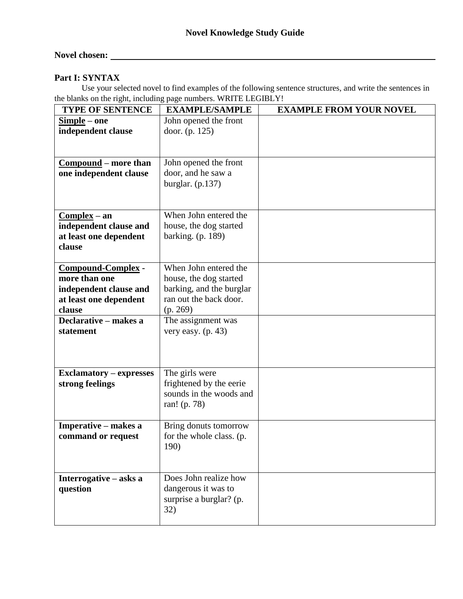# **Novel chosen:**

#### **Part I: SYNTAX**

Use your selected novel to find examples of the following sentence structures, and write the sentences in the blanks on the right, including page numbers. WRITE LEGIBLY!

| <b>TYPE OF SENTENCE</b>        | <b>EXAMPLE/SAMPLE</b>    | <b>EXAMPLE FROM YOUR NOVEL</b> |
|--------------------------------|--------------------------|--------------------------------|
| $Simple - one$                 | John opened the front    |                                |
| independent clause             | door. (p. 125)           |                                |
|                                |                          |                                |
|                                |                          |                                |
| <u>Compound</u> – more than    | John opened the front    |                                |
| one independent clause         | door, and he saw a       |                                |
|                                | burglar. $(p.137)$       |                                |
|                                |                          |                                |
|                                |                          |                                |
| $Complex - an$                 | When John entered the    |                                |
| independent clause and         | house, the dog started   |                                |
| at least one dependent         | barking. (p. 189)        |                                |
| clause                         |                          |                                |
|                                |                          |                                |
| Compound-Complex -             | When John entered the    |                                |
| more than one                  | house, the dog started   |                                |
| independent clause and         | barking, and the burglar |                                |
| at least one dependent         | ran out the back door.   |                                |
| clause                         | (p. 269)                 |                                |
| Declarative - makes a          | The assignment was       |                                |
| statement                      | very easy. $(p. 43)$     |                                |
|                                |                          |                                |
|                                |                          |                                |
|                                |                          |                                |
| <b>Exclamatory - expresses</b> | The girls were           |                                |
| strong feelings                | frightened by the eerie  |                                |
|                                | sounds in the woods and  |                                |
|                                | ran! (p. 78)             |                                |
|                                |                          |                                |
| Imperative – makes a           | Bring donuts tomorrow    |                                |
| command or request             | for the whole class. (p. |                                |
|                                | 190)                     |                                |
|                                |                          |                                |
|                                |                          |                                |
| Interrogative – asks a         | Does John realize how    |                                |
| question                       | dangerous it was to      |                                |
|                                | surprise a burglar? (p.  |                                |
|                                | 32)                      |                                |
|                                |                          |                                |